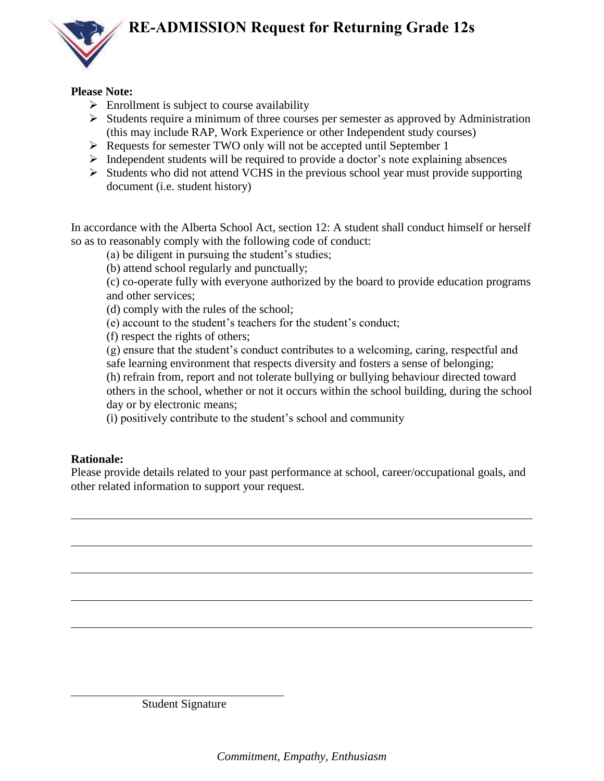## **RE-ADMISSION Request for Returning Grade 12s**



## **Please Note:**

- $\triangleright$  Enrollment is subject to course availability
- $\triangleright$  Students require a minimum of three courses per semester as approved by Administration (this may include RAP, Work Experience or other Independent study courses)
- Requests for semester TWO only will not be accepted until September 1
- $\triangleright$  Independent students will be required to provide a doctor's note explaining absences
- $\triangleright$  Students who did not attend VCHS in the previous school year must provide supporting document (i.e. student history)

In accordance with the Alberta School Act, section 12: A student shall conduct himself or herself so as to reasonably comply with the following code of conduct:

(a) be diligent in pursuing the student's studies;

(b) attend school regularly and punctually;

(c) co-operate fully with everyone authorized by the board to provide education programs and other services;

(d) comply with the rules of the school;

(e) account to the student's teachers for the student's conduct;

(f) respect the rights of others;

(g) ensure that the student's conduct contributes to a welcoming, caring, respectful and safe learning environment that respects diversity and fosters a sense of belonging; (h) refrain from, report and not tolerate bullying or bullying behaviour directed toward others in the school, whether or not it occurs within the school building, during the school

day or by electronic means;

(i) positively contribute to the student's school and community

## **Rationale:**

Please provide details related to your past performance at school, career/occupational goals, and other related information to support your request.

Student Signature